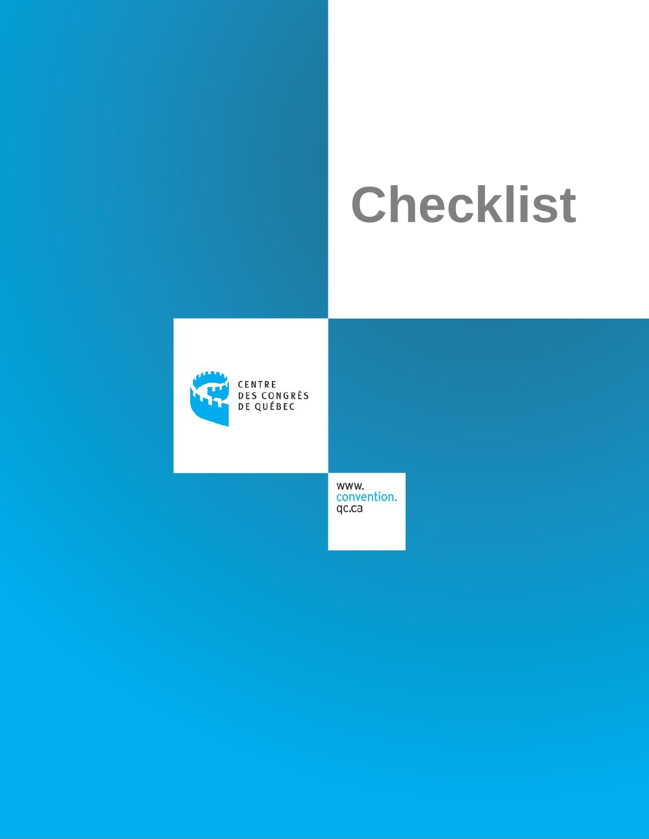# **Checklist**



CENTRE DES CONGRÈS<br>DE QUÉBEC

> www. convention. qc.ca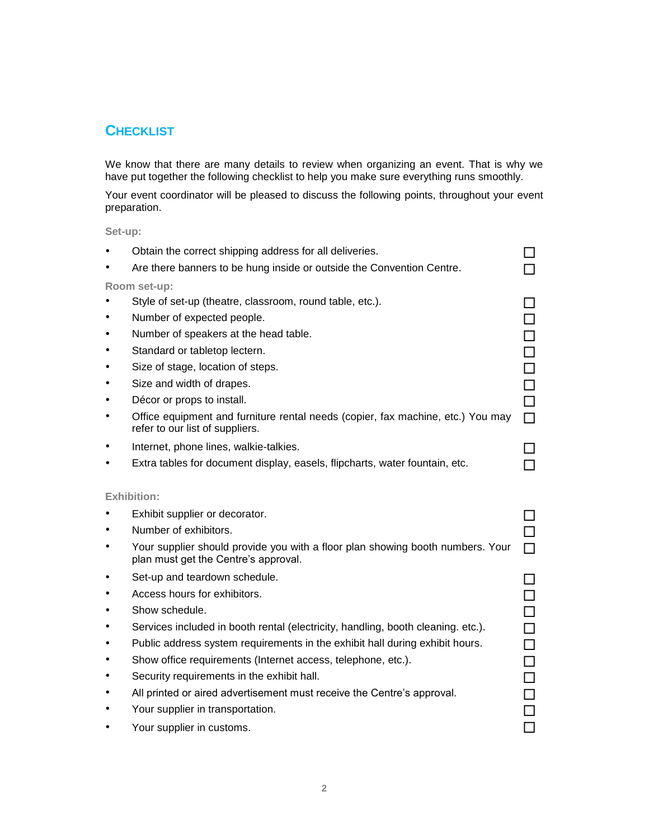## **CHECKLIST**

We know that there are many details to review when organizing an event. That is why we have put together the following checklist to help you make sure everything runs smoothly.

Your event coordinator will be pleased to discuss the following points, throughout your event preparation.

**Set-up:**

| Obtain the correct shipping address for all deliveries.                                                                |        |  |
|------------------------------------------------------------------------------------------------------------------------|--------|--|
| Are there banners to be hung inside or outside the Convention Centre.                                                  |        |  |
| Room set-up:                                                                                                           |        |  |
| Style of set-up (theatre, classroom, round table, etc.).                                                               |        |  |
| Number of expected people.                                                                                             |        |  |
| Number of speakers at the head table.                                                                                  |        |  |
| Standard or tabletop lectern.                                                                                          |        |  |
| Size of stage, location of steps.                                                                                      |        |  |
| Size and width of drapes.                                                                                              | $\Box$ |  |
| Décor or props to install.                                                                                             | $\Box$ |  |
| Office equipment and furniture rental needs (copier, fax machine, etc.) You may<br>refer to our list of suppliers.     | П      |  |
| Internet, phone lines, walkie-talkies.                                                                                 |        |  |
| Extra tables for document display, easels, flipcharts, water fountain, etc.                                            |        |  |
|                                                                                                                        |        |  |
| <b>Exhibition:</b>                                                                                                     |        |  |
| Exhibit supplier or decorator.                                                                                         |        |  |
| Number of exhibitors.                                                                                                  |        |  |
|                                                                                                                        |        |  |
| Your supplier should provide you with a floor plan showing booth numbers. Your<br>plan must get the Centre's approval. |        |  |
| Set-up and teardown schedule.                                                                                          |        |  |
| Access hours for exhibitors.                                                                                           | □      |  |
| Show schedule.                                                                                                         | $\Box$ |  |
| Services included in booth rental (electricity, handling, booth cleaning. etc.).                                       | $\Box$ |  |
| Public address system requirements in the exhibit hall during exhibit hours.                                           | $\Box$ |  |
| Show office requirements (Internet access, telephone, etc.).                                                           | $\Box$ |  |
| Security requirements in the exhibit hall.                                                                             |        |  |
| All printed or aired advertisement must receive the Centre's approval.                                                 |        |  |
| Your supplier in transportation.                                                                                       |        |  |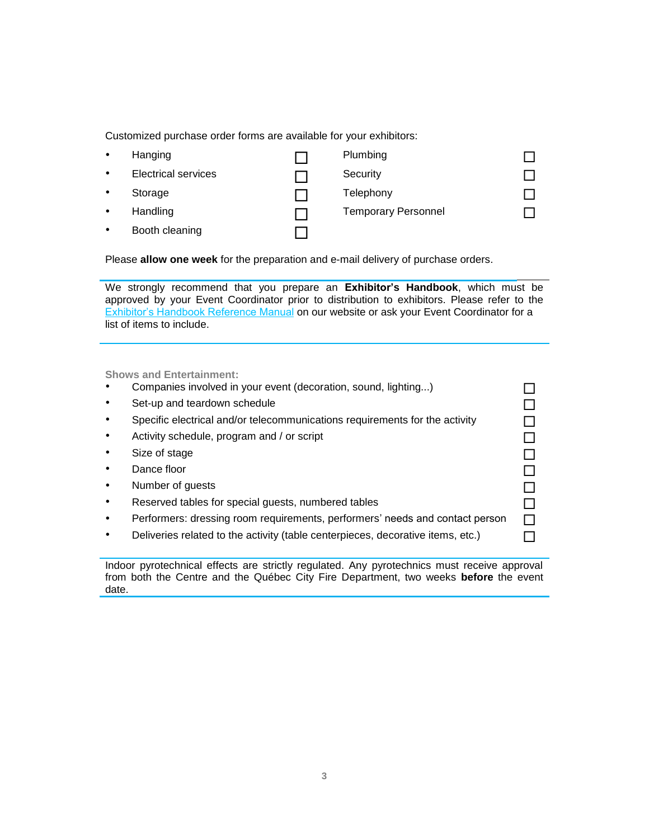Customized purchase order forms are available for your exhibitors:

| $\bullet$ | Hanging                    | Plumbing                   |  |
|-----------|----------------------------|----------------------------|--|
| $\bullet$ | <b>Electrical services</b> | Security                   |  |
| $\bullet$ | Storage                    | Telephony                  |  |
| $\bullet$ | Handling                   | <b>Temporary Personnel</b> |  |
| $\bullet$ | Booth cleaning             |                            |  |

Please **allow one week** for the preparation and e-mail delivery of purchase orders.

We strongly recommend that you prepare an **Exhibitor's Handbook**, which must be approved by your Event Coordinator prior to distribution to exhibitors. Please refer to the **[Exhibitor's Handbook Reference Manual o](https://www.convention.qc.ca/wp-content/uploads/2017/08/Exhibitors_Handbook_08.pdf)n our website or ask your Event Coordinator for a** list of items to include.

**Shows and Entertainment:**

- Companies involved in your event (decoration, sound, lighting...)
- Set-up and teardown schedule and the set of the set of the set of the set of the set of the set of the set of the set of the set of the set of the set of the set of the set of the set of the set of the set of the set of th
- Specific electrical and/or telecommunications requirements for the activity  $\Box$
- Activity schedule, program and / or script  $\Box$
- $\bullet$  Size of stage  $\Box$
- $\bullet$  Dance floor  $\Box$
- Number of guests and the set of the set of the set of the set of the set of the set of the set of the set of the set of the set of the set of the set of the set of the set of the set of the set of the set of the set of the
- Reserved tables for special guests, numbered tables  $\Box$
- Performers: dressing room requirements, performers' needs and contact person  $\square$
- $\bullet$  Deliveries related to the activity (table centerpieces, decorative items, etc.)  $\Box$

Indoor pyrotechnical effects are strictly regulated. Any pyrotechnics must receive approval from both the Centre and the Québec City Fire Department, two weeks **before** the event date.